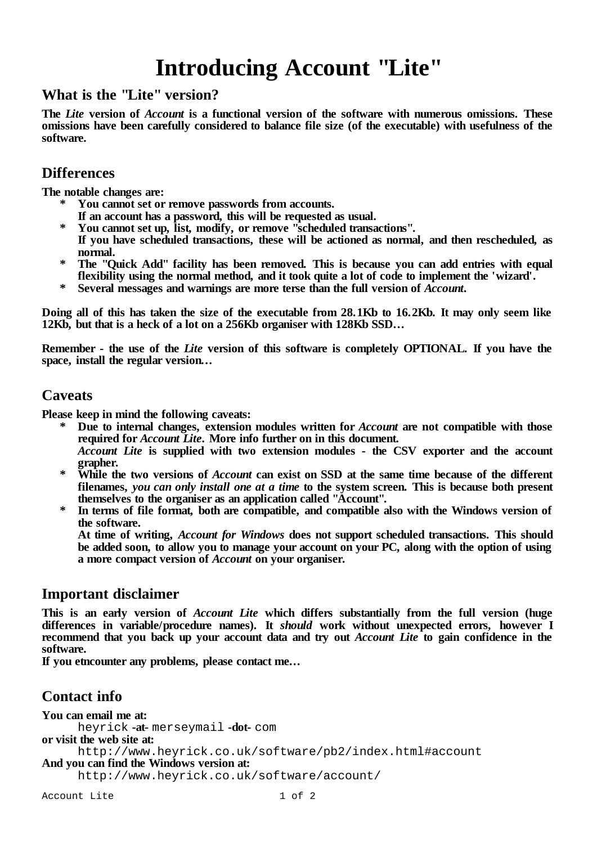# **Introducing Account "Lite"**

#### **What is the "Lite" version?**

**The** *Lite* **version of** *Account* **is a functional version of the software with numerous omissions. These omissions have been carefully considered to balance file size (of the executable) with usefulness of the software.**

#### **Differences**

**The notable changes are:**

- **\* You cannot set or remove passwords from accounts.**
- **If an account has a password, this will be requested as usual.**
- **\* You cannot set up, list, modify, or remove "scheduled transactions".**
- **If you have scheduled transactions, these will be actioned as normal, and then rescheduled, as normal.**
- **\* The "Quick Add" facility has been removed. This is because you can add entries with equal flexibility using the normal method, and it took quite a lot of code to implement the 'wizard'.**
- **\* Several messages and warnings are more terse than the full version of** *Account***.**

Doing all of this has taken the size of the executable from 28.1Kb to 16.2Kb. It may only seem like **12Kb, but that is a heck of a lot on a 256Kb organiser with 128Kb SSD...**

**Remember - the use of the** *Lite* **version of this software is completely OPTIONAL. If you have the space, install the regular version...**

#### **Caveats**

**Please keep in mind the following caveats:**

- **\* Due to internal changes, extension modules written for** *Account* **are not compatible with those required for** *Account Lite***. More info further on in this document.** *Account Lite* **is supplied with two extension modules - the CSV exporter and the account**
- **grapher.** \* While the two versions of *Account* can exist on SSD at the same time because of the different **filenames,** *you can only install one at a time* **to the system screen. This is because both present themselves to the organiser as an application called "Account".**
- **\* In terms of file format, both are compatible, and compatible also with the Windows version of the software.**

**At time of writing,** *Account for Windows* **does not support scheduled transactions. This should** be added soon, to allow you to manage your account on your PC, along with the option of using **a more compact version of** *Account* **on your organiser.**

#### **Important disclaimer**

**This is an early version of** *Account Lite* **which differs substantially from the full version (huge differences in variable/procedure names). It** *should* **work without unexpected errors, however I recommend that you back up your account data and try out** *Account Lite* **to gain confidence in the software.**

**If you etncounter any problems, please contact me...**

## **Contact info**

**You can email me at:** heyrick **-at-** merseymail **-dot-** com **or visit the web site at:** http://www.heyrick.co.uk/software/pb2/index.html#account **And you can find the Windows version at:** http://www.heyrick.co.uk/software/account/